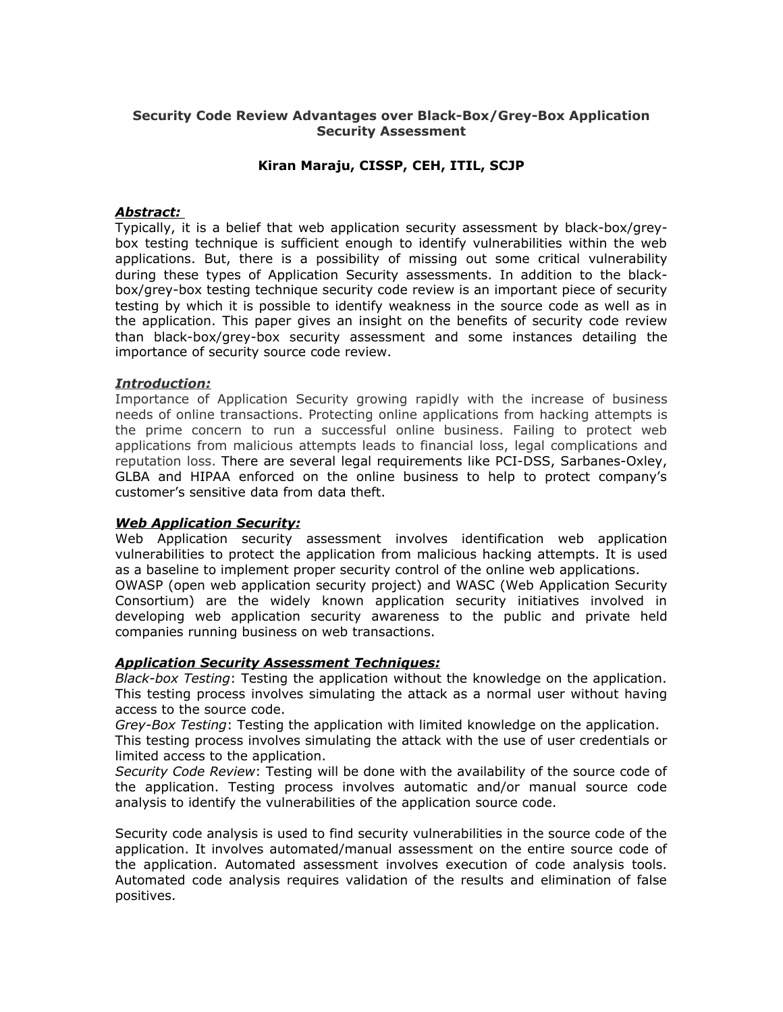# **Security Code Review Advantages over Black-Box/Grey-Box Application Security Assessment**

# **Kiran Maraju, CISSP, CEH, ITIL, SCJP**

## *Abstract:*

Typically, it is a belief that web application security assessment by black-box/greybox testing technique is sufficient enough to identify vulnerabilities within the web applications. But, there is a possibility of missing out some critical vulnerability during these types of Application Security assessments. In addition to the blackbox/grey-box testing technique security code review is an important piece of security testing by which it is possible to identify weakness in the source code as well as in the application. This paper gives an insight on the benefits of security code review than black-box/grey-box security assessment and some instances detailing the importance of security source code review.

## *Introduction:*

Importance of Application Security growing rapidly with the increase of business needs of online transactions. Protecting online applications from hacking attempts is the prime concern to run a successful online business. Failing to protect web applications from malicious attempts leads to financial loss, legal complications and reputation loss. There are several legal requirements like PCI-DSS, Sarbanes-Oxley, GLBA and HIPAA enforced on the online business to help to protect company's customer's sensitive data from data theft.

# *Web Application Security:*

Web Application security assessment involves identification web application vulnerabilities to protect the application from malicious hacking attempts. It is used as a baseline to implement proper security control of the online web applications. OWASP (open web application security project) and WASC (Web Application Security Consortium) are the widely known application security initiatives involved in developing web application security awareness to the public and private held companies running business on web transactions.

## *Application Security Assessment Techniques:*

*Black-box Testing*: Testing the application without the knowledge on the application. This testing process involves simulating the attack as a normal user without having access to the source code.

*Grey-Box Testing*: Testing the application with limited knowledge on the application.

This testing process involves simulating the attack with the use of user credentials or limited access to the application.

*Security Code Review*: Testing will be done with the availability of the source code of the application. Testing process involves automatic and/or manual source code analysis to identify the vulnerabilities of the application source code.

Security code analysis is used to find security vulnerabilities in the source code of the application. It involves automated/manual assessment on the entire source code of the application. Automated assessment involves execution of code analysis tools. Automated code analysis requires validation of the results and elimination of false positives.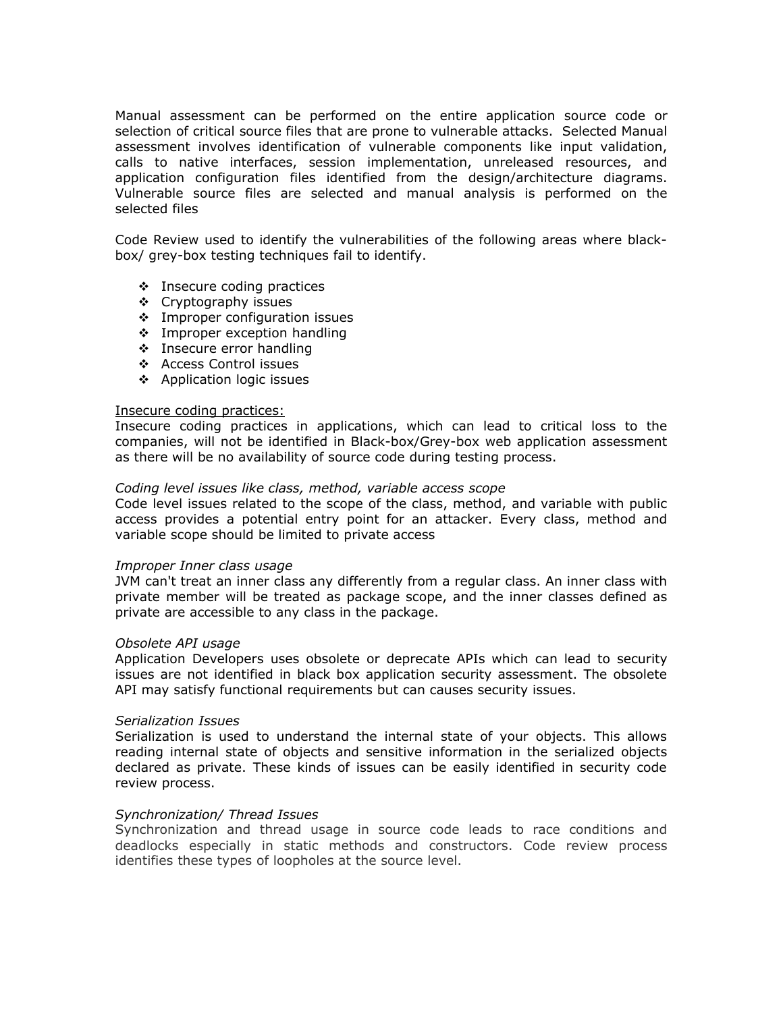Manual assessment can be performed on the entire application source code or selection of critical source files that are prone to vulnerable attacks. Selected Manual assessment involves identification of vulnerable components like input validation, calls to native interfaces, session implementation, unreleased resources, and application configuration files identified from the design/architecture diagrams. Vulnerable source files are selected and manual analysis is performed on the selected files

Code Review used to identify the vulnerabilities of the following areas where blackbox/ grey-box testing techniques fail to identify.

- Insecure coding practices
- Cryptography issues
- $\cdot$  Improper configuration issues
- **Improper exception handling**
- $\div$  Insecure error handling
- Access Control issues
- Application logic issues

### Insecure coding practices:

Insecure coding practices in applications, which can lead to critical loss to the companies, will not be identified in Black-box/Grey-box web application assessment as there will be no availability of source code during testing process.

## *Coding level issues like class, method, variable access scope*

Code level issues related to the scope of the class, method, and variable with public access provides a potential entry point for an attacker. Every class, method and variable scope should be limited to private access

## *Improper Inner class usage*

JVM can't treat an inner class any differently from a regular class. An inner class with private member will be treated as package scope, and the inner classes defined as private are accessible to any class in the package.

#### *Obsolete API usage*

Application Developers uses obsolete or deprecate APIs which can lead to security issues are not identified in black box application security assessment. The obsolete API may satisfy functional requirements but can causes security issues.

#### *Serialization Issues*

Serialization is used to understand the internal state of your objects. This allows reading internal state of objects and sensitive information in the serialized objects declared as private. These kinds of issues can be easily identified in security code review process.

# *Synchronization/ Thread Issues*

Synchronization and thread usage in source code leads to race conditions and deadlocks especially in static methods and constructors. Code review process identifies these types of loopholes at the source level.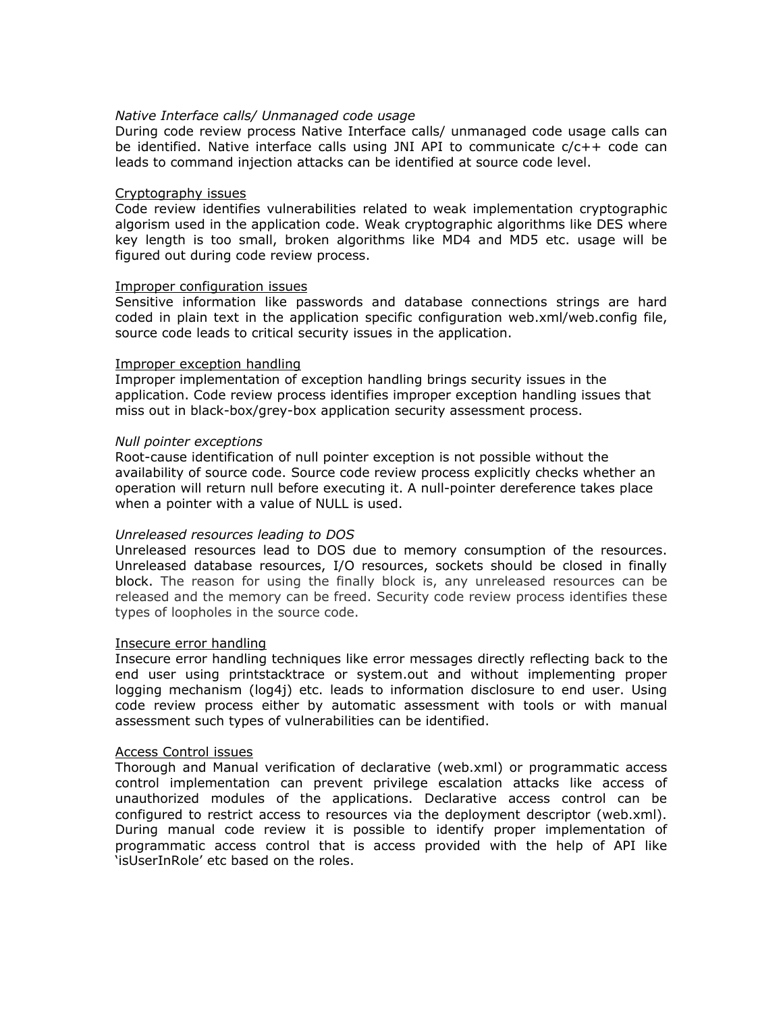## *Native Interface calls/ Unmanaged code usage*

During code review process Native Interface calls/ unmanaged code usage calls can be identified. Native interface calls using JNI API to communicate c/c++ code can leads to command injection attacks can be identified at source code level.

### Cryptography issues

Code review identifies vulnerabilities related to weak implementation cryptographic algorism used in the application code. Weak cryptographic algorithms like DES where key length is too small, broken algorithms like MD4 and MD5 etc. usage will be figured out during code review process.

#### Improper configuration issues

Sensitive information like passwords and database connections strings are hard coded in plain text in the application specific configuration web.xml/web.config file, source code leads to critical security issues in the application.

### Improper exception handling

Improper implementation of exception handling brings security issues in the application. Code review process identifies improper exception handling issues that miss out in black-box/grey-box application security assessment process.

### *Null pointer exceptions*

Root-cause identification of null pointer exception is not possible without the availability of source code. Source code review process explicitly checks whether an operation will return null before executing it. A null-pointer dereference takes place when a pointer with a value of NULL is used.

#### *Unreleased resources leading to DOS*

Unreleased resources lead to DOS due to memory consumption of the resources. Unreleased database resources, I/O resources, sockets should be closed in finally block. The reason for using the finally block is, any unreleased resources can be released and the memory can be freed. Security code review process identifies these types of loopholes in the source code.

## Insecure error handling

Insecure error handling techniques like error messages directly reflecting back to the end user using printstacktrace or system.out and without implementing proper logging mechanism (log4j) etc. leads to information disclosure to end user. Using code review process either by automatic assessment with tools or with manual assessment such types of vulnerabilities can be identified.

#### Access Control issues

Thorough and Manual verification of declarative (web.xml) or programmatic access control implementation can prevent privilege escalation attacks like access of unauthorized modules of the applications. Declarative access control can be configured to restrict access to resources via the deployment descriptor (web.xml). During manual code review it is possible to identify proper implementation of programmatic access control that is access provided with the help of API like 'isUserInRole' etc based on the roles.